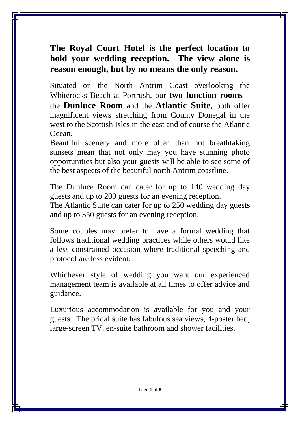### **The Royal Court Hotel is the perfect location to hold your wedding reception. The view alone is reason enough, but by no means the only reason.**

Situated on the North Antrim Coast overlooking the Whiterocks Beach at Portrush, our **two function rooms** – the **Dunluce Room** and the **Atlantic Suite**, both offer magnificent views stretching from County Donegal in the west to the Scottish Isles in the east and of course the Atlantic Ocean.

Beautiful scenery and more often than not breathtaking sunsets mean that not only may you have stunning photo opportunities but also your guests will be able to see some of the best aspects of the beautiful north Antrim coastline.

The Dunluce Room can cater for up to 140 wedding day guests and up to 200 guests for an evening reception.

The Atlantic Suite can cater for up to 250 wedding day guests and up to 350 guests for an evening reception.

Some couples may prefer to have a formal wedding that follows traditional wedding practices while others would like a less constrained occasion where traditional speeching and protocol are less evident.

Whichever style of wedding you want our experienced management team is available at all times to offer advice and guidance.

Luxurious accommodation is available for you and your guests. The bridal suite has fabulous sea views, 4-poster bed, large-screen TV, en-suite bathroom and shower facilities.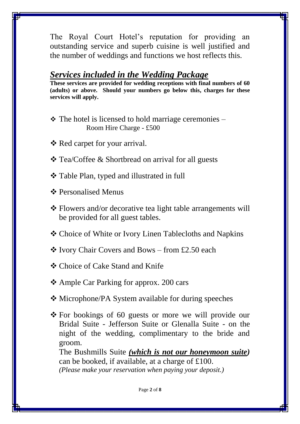The Royal Court Hotel's reputation for providing an outstanding service and superb cuisine is well justified and the number of weddings and functions we host reflects this.

### *Services included in the Wedding Package*

**These services are provided for wedding receptions with final numbers of 60 (adults) or above. Should your numbers go below this, charges for these services will apply.**

- $\cdot \cdot$  The hotel is licensed to hold marriage ceremonies Room Hire Charge - £500
- **V** Red carpet for your arrival.
- Tea/Coffee & Shortbread on arrival for all guests
- Table Plan, typed and illustrated in full
- **❖ Personalised Menus**
- Flowers and/or decorative tea light table arrangements will be provided for all guest tables.
- Choice of White or Ivory Linen Tablecloths and Napkins
- $\div$  Ivory Chair Covers and Bows from £2.50 each
- Choice of Cake Stand and Knife
- Ample Car Parking for approx. 200 cars
- Microphone/PA System available for during speeches
- For bookings of 60 guests or more we will provide our Bridal Suite - Jefferson Suite or Glenalla Suite - on the night of the wedding, complimentary to the bride and groom.

The Bushmills Suite *(which is not our honeymoon suite)* can be booked, if available, at a charge of £100. *(Please make your reservation when paying your deposit.)*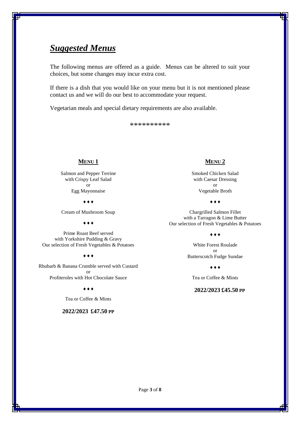### *Suggested Menus*

The following menus are offered as a guide. Menus can be altered to suit your choices, but some changes may incur extra cost.

If there is a dish that you would like on your menu but it is not mentioned please contact us and we will do our best to accommodate your request.

Vegetarian meals and special dietary requirements are also available.

\*\*\*\*\*\*\*\*\*\*

#### **MENU 1**

Salmon and Pepper Terrine with Crispy Leaf Salad or Egg Mayonnaise

 $\bullet\bullet\bullet$ 

Cream of Mushroom Soup

 $\bullet\bullet\bullet$ 

Prime Roast Beef served with Yorkshire Pudding & Gravy Our selection of Fresh Vegetables & Potatoes

#### $\bullet\bullet\bullet$

Rhubarb & Banana Crumble served with Custard or Profiteroles with Hot Chocolate Sauce

 $\bullet$   $\bullet$   $\bullet$ 

Tea or Coffee & Mints

#### **2022/2023 £47.50 PP**

#### **MENU 2**

Smoked Chicken Salad with Caesar Dressing or Vegetable Broth

 $\bullet\bullet\bullet$ 

Chargrilled Salmon Fillet with a Tarragon & Lime Butter Our selection of Fresh Vegetables & Potatoes

 $\diamond \bullet \bullet$ 

White Forest Roulade or Butterscotch Fudge Sundae

 $\diamond \bullet \bullet$ 

Tea or Coffee & Mints

#### **2022/2023 £45.50 PP**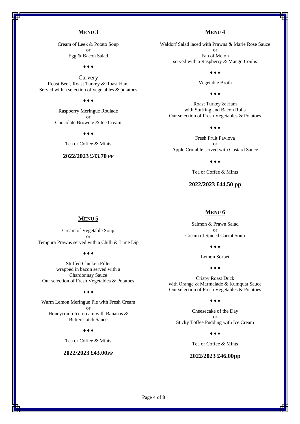#### **MENU 3**

Cream of Leek & Potato Soup or Egg & Bacon Salad

 $\bullet\bullet\bullet$ 

**Carvery** Roast Beef, Roast Turkey & Roast Ham Served with a selection of vegetables & potatoes

#### $\bullet\bullet\bullet$

Raspberry Meringue Roulade or Chocolate Brownie & Ice Cream

 $\bullet$   $\bullet$   $\bullet$ 

Tea or Coffee & Mints

#### **2022/2023 £43.70 PP**

#### **MENU 4**

Waldorf Salad laced with Prawns & Marie Rose Sauce or Fan of Melon served with a Raspberry & Mango Coulis

 $\bullet\bullet\bullet$ 

Vegetable Broth

 $\bullet$   $\bullet$   $\bullet$ 

Roast Turkey & Ham with Stuffing and Bacon Rolls Our selection of Fresh Vegetables & Potatoes

 $\bullet\bullet\bullet$ 

Fresh Fruit Pavlova or Apple Crumble served with Custard Sauce

 $\bullet\bullet\bullet$ 

Tea or Coffee & Mints

#### **2022/2023 £44.50 pp**

#### **MENU 6**

Salmon & Prawn Salad or Cream of Spiced Carrot Soup

 $\bullet\bullet\bullet$ 

Lemon Sorbet

 $\dots$ 

Crispy Roast Duck with Orange & Marmalade & Kumquat Sauce Our selection of Fresh Vegetables & Potatoes

 $\bullet\bullet\bullet$ 

Cheesecake of the Day or Sticky Toffee Pudding with Ice Cream

 $\bullet\bullet\bullet$ 

Tea or Coffee & Mints

#### **2022/2023 £46.00pp**

#### **MENU 5**

Cream of Vegetable Soup or Tempura Prawns served with a Chilli & Lime Dip

 $\bullet\bullet\bullet$ 

Stuffed Chicken Fillet wrapped in bacon served with a Chardonnay Sauce Our selection of Fresh Vegetables & Potatoes

#### $\bullet\bullet\bullet$

Warm Lemon Meringue Pie with Fresh Cream or Honeycomb Ice-cream with Bananas & Butterscotch Sauce

 $\bullet\bullet\bullet$ 

Tea or Coffee & Mints

#### **2022/2023 £43.00PP**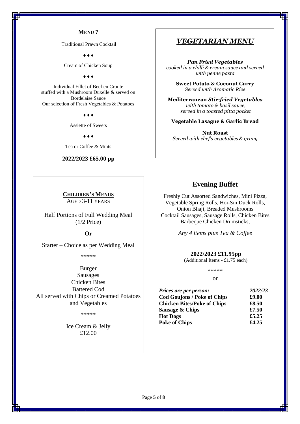#### **MENU 7**

Traditional Prawn Cocktail

 $\triangle$   $\triangle$   $\triangle$ 

Cream of Chicken Soup

 $\bullet\bullet\bullet$ 

Individual Fillet of Beef en Croute stuffed with a Mushroom Duxelle & served on Bordelaise Sauce Our selection of Fresh Vegetables & Potatoes

 $\bullet$   $\bullet$   $\bullet$ 

Assiette of Sweets

 $\bullet\bullet\bullet$ 

Tea or Coffee & Mints

#### **2022/2023 £65.00 pp**

**CHILDREN'S MENUS** AGED 3-11 YEARS

Half Portions of Full Wedding Meal (1/2 Price)

**Or**

Starter – Choice as per Wedding Meal

\*\*\*\*\*

Burger Sausages Chicken Bites Battered Cod All served with Chips or Creamed Potatoes and Vegetables

\*\*\*\*\*

Ice Cream & Jelly £12.00

#### *VEGETARIAN MENU*

*Pan Fried Vegetables cooked in a chilli & cream sauce and served with penne pasta*

**Sweet Potato & Coconut Curry** *Served with Aromatic Rice*

**Mediterranean** *Stir-fried Vegetables with tomato & basil sauce, served in a toasted pitta pocket*

**Vegetable Lasagne & Garlic Bread**

**Nut Roast** *Served with chef's vegetables & gravy*

#### **Evening Buffet**

Freshly Cut Assorted Sandwiches, Mini Pizza, Vegetable Spring Rolls, Hoi-Sin Duck Rolls, Onion Bhaji, Breaded Mushrooms Cocktail Sausages, Sausage Rolls, Chicken Bites Barbeque Chicken Drumsticks,

*Any 4 items plus Tea & Coffee*

#### **2022/2023 £11.95pp**

(Additional Items - £1.75 each)

\*\*\*\*\* or

| Prices are per person:             | 2022/23 |
|------------------------------------|---------|
| <b>Cod Goujons / Poke of Chips</b> | £9.00   |
| <b>Chicken Bites/Poke of Chips</b> | £8.50   |
| Sausage & Chips                    | £7.50   |
| <b>Hot Dogs</b>                    | £5.25   |
| <b>Poke of Chips</b>               | £4.25   |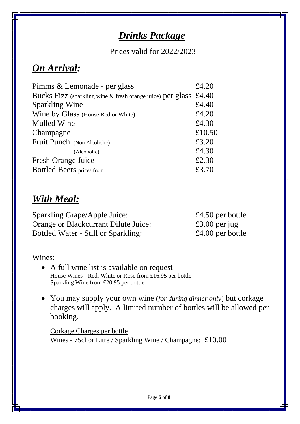# *Drinks Package*

Prices valid for 2022/2023

### *On Arrival:*

| £4.20                                                            |
|------------------------------------------------------------------|
| Bucks Fizz (sparkling wine & fresh orange juice) per glass £4.40 |
| £4.40                                                            |
| £4.20                                                            |
| £4.30                                                            |
| £10.50                                                           |
| £3.20                                                            |
| £4.30                                                            |
| £2.30                                                            |
| £3.70                                                            |
|                                                                  |

## *With Meal:*

Sparkling Grape/Apple Juice: £4.50 per bottle Orange or Blackcurrant Dilute Juice: £3.00 per jug Bottled Water - Still or Sparkling: £4.00 per bottle

Wines:

- A full wine list is available on request House Wines - Red, White or Rose from £16.95 per bottle Sparkling Wine from £20.95 per bottle
- You may supply your own wine (*for during dinner only*) but corkage charges will apply. A limited number of bottles will be allowed per booking.

Corkage Charges per bottle Wines - 75cl or Litre / Sparkling Wine / Champagne: £10.00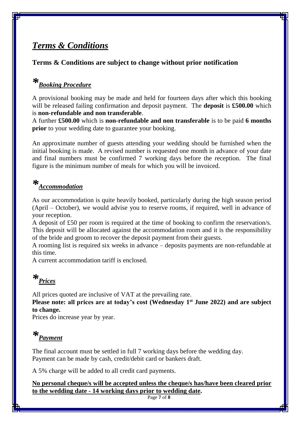### *Terms & Conditions*

### **Terms & Conditions are subject to change without prior notification**

# *\*Booking Procedure*

A provisional booking may be made and held for fourteen days after which this booking will be released failing confirmation and deposit payment. The **deposit** is **£500.00** which is **non-refundable and non transferable**.

A further **£500.00** which is **non-refundable and non transferable** is to be paid **6 months prior** to your wedding date to guarantee your booking.

An approximate number of guests attending your wedding should be furnished when the initial booking is made. A revised number is requested one month in advance of your date and final numbers must be confirmed 7 working days before the reception. The final figure is the minimum number of meals for which you will be invoiced.

# *\*Accommodation*

As our accommodation is quite heavily booked, particularly during the high season period (April – October), we would advise you to reserve rooms, if required, well in advance of your reception.

A deposit of £50 per room is required at the time of booking to confirm the reservation/s. This deposit will be allocated against the accommodation room and it is the responsibility of the bride and groom to recover the deposit payment from their guests.

A rooming list is required six weeks in advance – deposits payments are non-refundable at this time.

A current accommodation tariff is enclosed.

*\*Prices* 

All prices quoted are inclusive of VAT at the prevailing rate.

**Please note: all prices are at today's cost (Wednesday 1st June 2022) and are subject to change.**

Prices do increase year by year.

# *\*Payment*

The final account must be settled in full 7 working days before the wedding day. Payment can be made by cash, credit/debit card or bankers draft.

A 5% charge will be added to all credit card payments.

**No personal cheque/s will be accepted unless the cheque/s has/have been cleared prior to the wedding date - 14 working days prior to wedding date.**

Page **7** of **8**